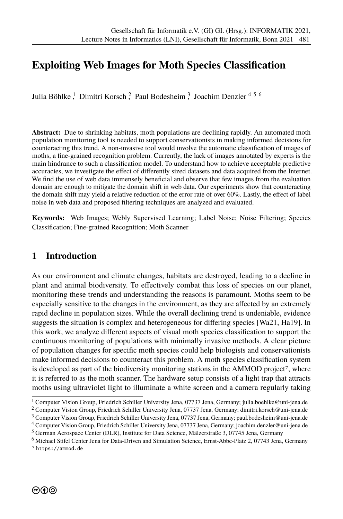# **Exploiting Web Images for Moth Species Classifcation**

Julia Böhlke<sup>1</sup>, Dimitri Korsch<sup>2</sup>, Paul Bodesheim<sup>3</sup>, Joachim Denzler<sup>456</sup>

**Abstract:** Due to shrinking habitats, moth populations are declining rapidly. An automated moth population monitoring tool is needed to support conservationists in making informed decisions for counteracting this trend. A non-invasive tool would involve the automatic classifcation of images of moths, a fne-grained recognition problem. Currently, the lack of images annotated by experts is the main hindrance to such a classifcation model. To understand how to achieve acceptable predictive accuracies, we investigate the efect of diferently sized datasets and data acquired from the Internet. We find the use of web data immensely beneficial and observe that few images from the evaluation domain are enough to mitigate the domain shift in web data. Our experiments show that counteracting the domain shift may yield a relative reduction of the error rate of over 60%. Lastly, the efect of label noise in web data and proposed fltering techniques are analyzed and evaluated.

**Keywords:** Web Images; Webly Supervised Learning; Label Noise; Noise Filtering; Species Classifcation; Fine-grained Recognition; Moth Scanner

### **1 Introduction**

As our environment and climate changes, habitats are destroyed, leading to a decline in plant and animal biodiversity. To efectively combat this loss of species on our planet, monitoring these trends and understanding the reasons is paramount. Moths seem to be especially sensitive to the changes in the environment, as they are afected by an extremely rapid decline in population sizes. While the overall declining trend is undeniable, evidence suggests the situation is complex and heterogeneous for difering species [Wa21, Ha19]. In this work, we analyze diferent aspects of visual moth species classifcation to support the continuous monitoring of populations with minimally invasive methods. A clear picture of population changes for specifc moth species could help biologists and conservationists make informed decisions to counteract this problem. A moth species classifcation system is developed as part of the biodiversity monitoring stations in the AMMOD project7, where it is referred to as the moth scanner. The hardware setup consists of a light trap that attracts moths using ultraviolet light to illuminate a white screen and a camera regularly taking

 $^1$  Computer Vision Group, Friedrich Schiller University Jena, 07737 Jena, Germany; julia.boehlke@uni-jena.de

<sup>2</sup> Computer Vision Group, Friedrich Schiller University Jena, 07737 Jena, Germany; dimitri.korsch@uni-jena.de

<sup>3</sup> Computer Vision Group, Friedrich Schiller University Jena, 07737 Jena, Germany; paul.bodesheim@uni-jena.de

<sup>4</sup> Computer Vision Group, Friedrich Schiller University Jena, 07737 Jena, Germany; joachim.denzler@uni-jena.de

<sup>5</sup> German Aerospace Center (DLR), Institute for Data Science, Mälzerstraße 3, 07745 Jena, Germany

<sup>6</sup> Michael Stifel Center Jena for Data-Driven and Simulation Science, Ernst-Abbe-Platz 2, 07743 Jena, Germany 7 https://ammod.de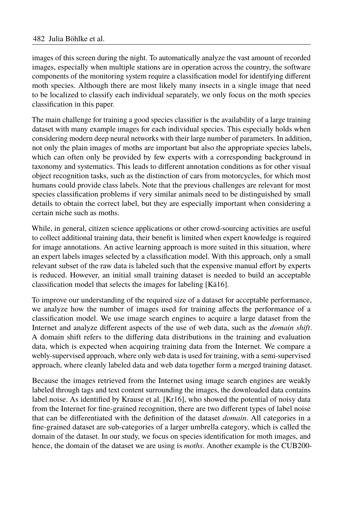images of this screen during the night. To automatically analyze the vast amount of recorded images, especially when multiple stations are in operation across the country, the software components of the monitoring system require a classifcation model for identifying diferent moth species. Although there are most likely many insects in a single image that need to be localized to classify each individual separately, we only focus on the moth species classifcation in this paper.

The main challenge for training a good species classifer is the availability of a large training dataset with many example images for each individual species. This especially holds when considering modern deep neural networks with their large number of parameters. In addition, not only the plain images of moths are important but also the appropriate species labels, which can often only be provided by few experts with a corresponding background in taxonomy and systematics. This leads to diferent annotation conditions as for other visual object recognition tasks, such as the distinction of cars from motorcycles, for which most humans could provide class labels. Note that the previous challenges are relevant for most species classifcation problems if very similar animals need to be distinguished by small details to obtain the correct label, but they are especially important when considering a certain niche such as moths.

While, in general, citizen science applications or other crowd-sourcing activities are useful to collect additional training data, their beneft is limited when expert knowledge is required for image annotations. An active learning approach is more suited in this situation, where an expert labels images selected by a classifcation model. With this approach, only a small relevant subset of the raw data is labeled such that the expensive manual efort by experts is reduced. However, an initial small training dataset is needed to build an acceptable classifcation model that selects the images for labeling [Kä16].

To improve our understanding of the required size of a dataset for acceptable performance, we analyze how the number of images used for training afects the performance of a classifcation model. We use image search engines to acquire a large dataset from the Internet and analyze diferent aspects of the use of web data, such as the *domain shift*. A domain shift refers to the difering data distributions in the training and evaluation data, which is expected when acquiring training data from the Internet. We compare a webly-supervised approach, where only web data is used for training, with a semi-supervised approach, where cleanly labeled data and web data together form a merged training dataset.

Because the images retrieved from the Internet using image search engines are weakly labeled through tags and text content surrounding the images, the downloaded data contains label noise. As identifed by Krause et al. [Kr16], who showed the potential of noisy data from the Internet for fne-grained recognition, there are two diferent types of label noise that can be diferentiated with the defnition of the dataset *domain*. All categories in a fne-grained dataset are sub-categories of a larger umbrella category, which is called the domain of the dataset. In our study, we focus on species identifcation for moth images, and hence, the domain of the dataset we are using is *moths*. Another example is the CUB200-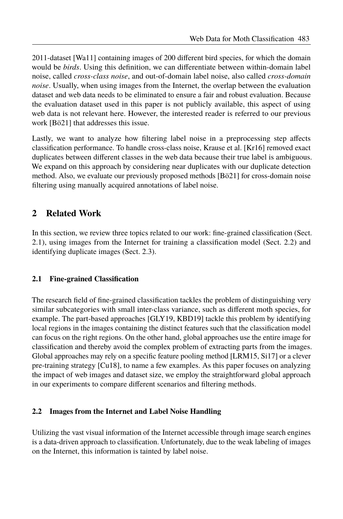2011-dataset [Wa11] containing images of 200 diferent bird species, for which the domain would be *birds*. Using this defnition, we can diferentiate between within-domain label noise, called *cross-class noise*, and out-of-domain label noise, also called *cross-domain noise*. Usually, when using images from the Internet, the overlap between the evaluation dataset and web data needs to be eliminated to ensure a fair and robust evaluation. Because the evaluation dataset used in this paper is not publicly available, this aspect of using web data is not relevant here. However, the interested reader is referred to our previous work [Bö21] that addresses this issue.

Lastly, we want to analyze how fltering label noise in a preprocessing step afects classifcation performance. To handle cross-class noise, Krause et al. [Kr16] removed exact duplicates between diferent classes in the web data because their true label is ambiguous. We expand on this approach by considering near duplicates with our duplicate detection method. Also, we evaluate our previously proposed methods [Bö21] for cross-domain noise fltering using manually acquired annotations of label noise.

# **2 Related Work**

In this section, we review three topics related to our work: fne-grained classifcation (Sect. 2.1), using images from the Internet for training a classifcation model (Sect. 2.2) and identifying duplicate images (Sect. 2.3).

### **2.1 Fine-grained Classifcation**

The research feld of fne-grained classifcation tackles the problem of distinguishing very similar subcategories with small inter-class variance, such as diferent moth species, for example. The part-based approaches [GLY19, KBD19] tackle this problem by identifying local regions in the images containing the distinct features such that the classifcation model can focus on the right regions. On the other hand, global approaches use the entire image for classifcation and thereby avoid the complex problem of extracting parts from the images. Global approaches may rely on a specifc feature pooling method [LRM15, Si17] or a clever pre-training strategy [Cu18], to name a few examples. As this paper focuses on analyzing the impact of web images and dataset size, we employ the straightforward global approach in our experiments to compare diferent scenarios and fltering methods.

### **2.2 Images from the Internet and Label Noise Handling**

Utilizing the vast visual information of the Internet accessible through image search engines is a data-driven approach to classifcation. Unfortunately, due to the weak labeling of images on the Internet, this information is tainted by label noise.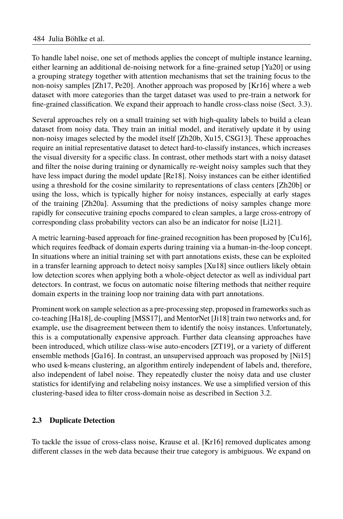To handle label noise, one set of methods applies the concept of multiple instance learning, either learning an additional de-noising network for a fne-grained setup [Ya20] or using a grouping strategy together with attention mechanisms that set the training focus to the non-noisy samples [Zh17, Pe20]. Another approach was proposed by [Kr16] where a web dataset with more categories than the target dataset was used to pre-train a network for fne-grained classifcation. We expand their approach to handle cross-class noise (Sect. 3.3).

Several approaches rely on a small training set with high-quality labels to build a clean dataset from noisy data. They train an initial model, and iteratively update it by using non-noisy images selected by the model itself [Zh20b, Xu15, CSG13]. These approaches require an initial representative dataset to detect hard-to-classify instances, which increases the visual diversity for a specifc class. In contrast, other methods start with a noisy dataset and flter the noise during training or dynamically re-weight noisy samples such that they have less impact during the model update [Re18]. Noisy instances can be either identifed using a threshold for the cosine similarity to representations of class centers [Zh20b] or using the loss, which is typically higher for noisy instances, especially at early stages of the training [Zh20a]. Assuming that the predictions of noisy samples change more rapidly for consecutive training epochs compared to clean samples, a large cross-entropy of corresponding class probability vectors can also be an indicator for noise [Li21].

A metric learning-based approach for fne-grained recognition has been proposed by [Cu16], which requires feedback of domain experts during training via a human-in-the-loop concept. In situations where an initial training set with part annotations exists, these can be exploited in a transfer learning approach to detect noisy samples [Xu18] since outliers likely obtain low detection scores when applying both a whole-object detector as well as individual part detectors. In contrast, we focus on automatic noise fltering methods that neither require domain experts in the training loop nor training data with part annotations.

Prominent work on sample selection as a pre-processing step, proposed in frameworks such as co-teaching [Ha18], de-coupling [MSS17], and MentorNet [Ji18] train two networks and, for example, use the disagreement between them to identify the noisy instances. Unfortunately, this is a computationally expensive approach. Further data cleansing approaches have been introduced, which utilize class-wise auto-encoders [ZT19], or a variety of diferent ensemble methods [Ga16]. In contrast, an unsupervised approach was proposed by [Ni15] who used k-means clustering, an algorithm entirely independent of labels and, therefore, also independent of label noise. They repeatedly cluster the noisy data and use cluster statistics for identifying and relabeling noisy instances. We use a simplifed version of this clustering-based idea to flter cross-domain noise as described in Section 3.2.

### **2.3 Duplicate Detection**

To tackle the issue of cross-class noise, Krause et al. [Kr16] removed duplicates among diferent classes in the web data because their true category is ambiguous. We expand on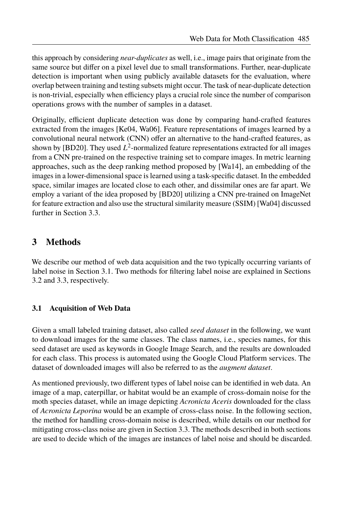this approach by considering *near-duplicates* as well, i.e., image pairs that originate from the same source but difer on a pixel level due to small transformations. Further, near-duplicate detection is important when using publicly available datasets for the evaluation, where overlap between training and testing subsets might occur. The task of near-duplicate detection is non-trivial, especially when efficiency plays a crucial role since the number of comparison operations grows with the number of samples in a dataset.

Originally, efficient duplicate detection was done by comparing hand-crafted features extracted from the images [Ke04, Wa06]. Feature representations of images learned by a convolutional neural network (CNN) offer an alternative to the hand-crafted features, as shown by [BD20]. They used  $L^2$ -normalized feature representations extracted for all images from a CNN pre-trained on the respective training set to compare images. In metric learning approaches, such as the deep ranking method proposed by [Wa14], an embedding of the images in a lower-dimensional space is learned using a task-specifc dataset. In the embedded space, similar images are located close to each other, and dissimilar ones are far apart. We employ a variant of the idea proposed by [BD20] utilizing a CNN pre-trained on ImageNet for feature extraction and also use the structural similarity measure (SSIM) [Wa04] discussed further in Section 3.3.

# **3 Methods**

We describe our method of web data acquisition and the two typically occurring variants of label noise in Section 3.1. Two methods for fltering label noise are explained in Sections 3.2 and 3.3, respectively.

### **3.1 Acquisition of Web Data**

Given a small labeled training dataset, also called *seed dataset* in the following, we want to download images for the same classes. The class names, i.e., species names, for this seed dataset are used as keywords in Google Image Search, and the results are downloaded for each class. This process is automated using the Google Cloud Platform services. The dataset of downloaded images will also be referred to as the *augment dataset*.

As mentioned previously, two diferent types of label noise can be identifed in web data. An image of a map, caterpillar, or habitat would be an example of cross-domain noise for the moth species dataset, while an image depicting *Acronicta Aceris* downloaded for the class of *Acronicta Leporina* would be an example of cross-class noise. In the following section, the method for handling cross-domain noise is described, while details on our method for mitigating cross-class noise are given in Section 3.3. The methods described in both sections are used to decide which of the images are instances of label noise and should be discarded.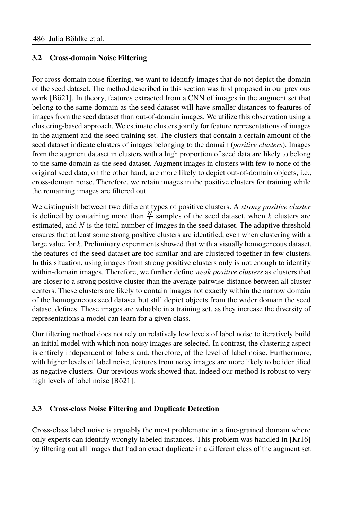#### **3.2 Cross-domain Noise Filtering**

For cross-domain noise fltering, we want to identify images that do not depict the domain of the seed dataset. The method described in this section was frst proposed in our previous work [Bö21]. In theory, features extracted from a CNN of images in the augment set that belong to the same domain as the seed dataset will have smaller distances to features of images from the seed dataset than out-of-domain images. We utilize this observation using a clustering-based approach. We estimate clusters jointly for feature representations of images in the augment and the seed training set. The clusters that contain a certain amount of the seed dataset indicate clusters of images belonging to the domain (*positive clusters*). Images from the augment dataset in clusters with a high proportion of seed data are likely to belong to the same domain as the seed dataset. Augment images in clusters with few to none of the original seed data, on the other hand, are more likely to depict out-of-domain objects, i.e., cross-domain noise. Therefore, we retain images in the positive clusters for training while the remaining images are fltered out.

We distinguish between two diferent types of positive clusters. A *strong positive cluster* is defined by containing more than  $\frac{N}{k}$  samples of the seed dataset, when *k* clusters are estimated, and *N* is the total number of images in the seed dataset. The adaptive threshold ensures that at least some strong positive clusters are identifed, even when clustering with a large value for *k*. Preliminary experiments showed that with a visually homogeneous dataset, the features of the seed dataset are too similar and are clustered together in few clusters. In this situation, using images from strong positive clusters only is not enough to identify within-domain images. Therefore, we further defne *weak positive clusters* as clusters that are closer to a strong positive cluster than the average pairwise distance between all cluster centers. These clusters are likely to contain images not exactly within the narrow domain of the homogeneous seed dataset but still depict objects from the wider domain the seed dataset defnes. These images are valuable in a training set, as they increase the diversity of representations a model can learn for a given class.

Our fltering method does not rely on relatively low levels of label noise to iteratively build an initial model with which non-noisy images are selected. In contrast, the clustering aspect is entirely independent of labels and, therefore, of the level of label noise. Furthermore, with higher levels of label noise, features from noisy images are more likely to be identifed as negative clusters. Our previous work showed that, indeed our method is robust to very high levels of label noise [Bö21].

#### **3.3 Cross-class Noise Filtering and Duplicate Detection**

Cross-class label noise is arguably the most problematic in a fne-grained domain where only experts can identify wrongly labeled instances. This problem was handled in [Kr16] by fltering out all images that had an exact duplicate in a diferent class of the augment set.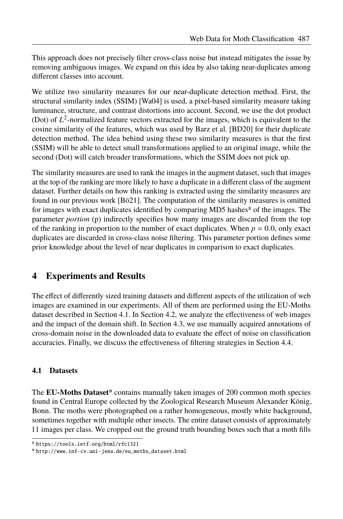This approach does not precisely flter cross-class noise but instead mitigates the issue by removing ambiguous images. We expand on this idea by also taking near-duplicates among diferent classes into account.

We utilize two similarity measures for our near-duplicate detection method. First, the structural similarity index (SSIM) [Wa04] is used, a pixel-based similarity measure taking luminance, structure, and contrast distortions into account. Second, we use the dot product (Dot) of  $L^2$ -normalized feature vectors extracted for the images, which is equivalent to the cosine similarity of the features, which was used by Barz et al. [BD20] for their duplicate detection method. The idea behind using these two similarity measures is that the frst (SSIM) will be able to detect small transformations applied to an original image, while the second (Dot) will catch broader transformations, which the SSIM does not pick up.

The similarity measures are used to rank the images in the augment dataset, such that images at the top of the ranking are more likely to have a duplicate in a diferent class of the augment dataset. Further details on how this ranking is extracted using the similarity measures are found in our previous work [Bö21]. The computation of the similarity measures is omitted for images with exact duplicates identified by comparing MD5 hashes $\delta$  of the images. The parameter *portion* (p) indirectly specifes how many images are discarded from the top of the ranking in proportion to the number of exact duplicates. When  $p = 0.0$ , only exact duplicates are discarded in cross-class noise fltering. This parameter portion defnes some prior knowledge about the level of near duplicates in comparison to exact duplicates.

# **4 Experiments and Results**

The efect of diferently sized training datasets and diferent aspects of the utilization of web images are examined in our experiments. All of them are performed using the EU-Moths dataset described in Section 4.1. In Section 4.2, we analyze the efectiveness of web images and the impact of the domain shift. In Section 4.3, we use manually acquired annotations of cross-domain noise in the downloaded data to evaluate the efect of noise on classifcation accuracies. Finally, we discuss the efectiveness of fltering strategies in Section 4.4.

#### **4.1 Datasets**

The **EU-Moths Dataset**<sup>9</sup> contains manually taken images of 200 common moth species found in Central Europe collected by the Zoological Research Museum Alexander König, Bonn. The moths were photographed on a rather homogeneous, mostly white background, sometimes together with multiple other insects. The entire dataset consists of approximately 11 images per class. We cropped out the ground truth bounding boxes such that a moth flls

<sup>8</sup> https://tools.ietf.org/html/rfc1321

<sup>9</sup> http://www.inf-cv.uni-jena.de/eu\_moths\_dataset.html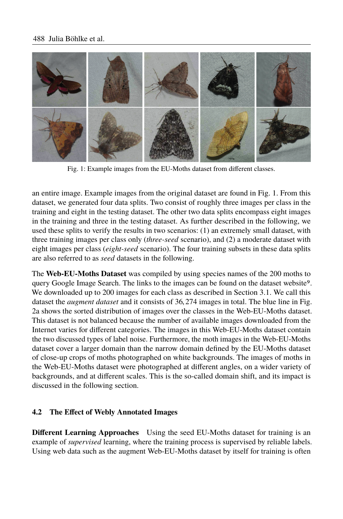

Fig. 1: Example images from the EU-Moths dataset from diferent classes.

an entire image. Example images from the original dataset are found in Fig. 1. From this dataset, we generated four data splits. Two consist of roughly three images per class in the training and eight in the testing dataset. The other two data splits encompass eight images in the training and three in the testing dataset. As further described in the following, we used these splits to verify the results in two scenarios: (1) an extremely small dataset, with three training images per class only (*three-seed* scenario), and (2) a moderate dataset with eight images per class (*eight-seed* scenario). The four training subsets in these data splits are also referred to as *seed* datasets in the following.

The **Web-EU-Moths Dataset** was compiled by using species names of the 200 moths to query Google Image Search. The links to the images can be found on the dataset website9. We downloaded up to 200 images for each class as described in Section 3.1. We call this dataset the *augment dataset* and it consists of <sup>36</sup>, <sup>274</sup> images in total. The blue line in Fig. 2a shows the sorted distribution of images over the classes in the Web-EU-Moths dataset. This dataset is not balanced because the number of available images downloaded from the Internet varies for diferent categories. The images in this Web-EU-Moths dataset contain the two discussed types of label noise. Furthermore, the moth images in the Web-EU-Moths dataset cover a larger domain than the narrow domain defned by the EU-Moths dataset of close-up crops of moths photographed on white backgrounds. The images of moths in the Web-EU-Moths dataset were photographed at diferent angles, on a wider variety of backgrounds, and at diferent scales. This is the so-called domain shift, and its impact is discussed in the following section.

### **4.2 The Efect of Webly Annotated Images**

**Diferent Learning Approaches** Using the seed EU-Moths dataset for training is an example of *supervised* learning, where the training process is supervised by reliable labels. Using web data such as the augment Web-EU-Moths dataset by itself for training is often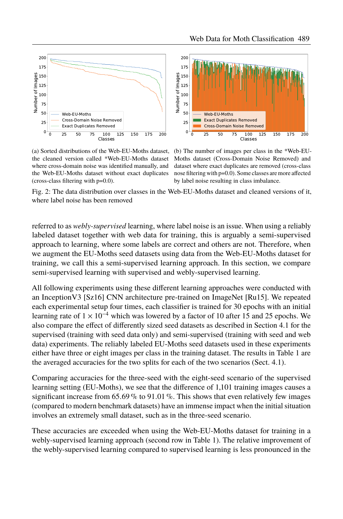

(a) Sorted distributions of the Web-EU-Moths dataset, the cleaned version called \*Web-EU-Moths dataset where cross-domain noise was identifed manually, and the Web-EU-Moths dataset without exact duplicates (cross-class fltering with p=0.0).

(b) The number of images per class in the \*Web-EU-Moths dataset (Cross-Domain Noise Removed) and dataset where exact duplicates are removed (cross-class nose fltering with p=0.0). Some classes are more afected by label noise resulting in class imbalance.

Fig. 2: The data distribution over classes in the Web-EU-Moths dataset and cleaned versions of it, where label noise has been removed

referred to as *webly-supervised* learning, where label noise is an issue. When using a reliably labeled dataset together with web data for training, this is arguably a semi-supervised approach to learning, where some labels are correct and others are not. Therefore, when we augment the EU-Moths seed datasets using data from the Web-EU-Moths dataset for training, we call this a semi-supervised learning approach. In this section, we compare semi-supervised learning with supervised and webly-supervised learning.

All following experiments using these diferent learning approaches were conducted with an InceptionV3 [Sz16] CNN architecture pre-trained on ImageNet [Ru15]. We repeated each experimental setup four times, each classifer is trained for 30 epochs with an initial learning rate of  $1 \times 10^{-4}$  which was lowered by a factor of 10 after 15 and 25 epochs. We also compare the efect of diferently sized seed datasets as described in Section 4.1 for the supervised (training with seed data only) and semi-supervised (training with seed and web data) experiments. The reliably labeled EU-Moths seed datasets used in these experiments either have three or eight images per class in the training dataset. The results in Table 1 are the averaged accuracies for the two splits for each of the two scenarios (Sect. 4.1).

Comparing accuracies for the three-seed with the eight-seed scenario of the supervised learning setting (EU-Moths), we see that the diference of <sup>1</sup>,<sup>101</sup> training images causes a significant increase from 65.69 % to 91.01 %. This shows that even relatively few images (compared to modern benchmark datasets) have an immense impact when the initial situation involves an extremely small dataset, such as in the three-seed scenario.

These accuracies are exceeded when using the Web-EU-Moths dataset for training in a webly-supervised learning approach (second row in Table 1). The relative improvement of the webly-supervised learning compared to supervised learning is less pronounced in the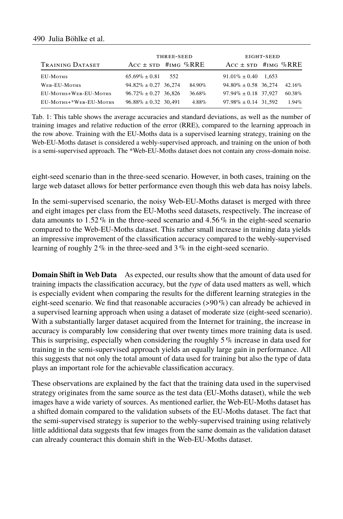### 490 Julia Böhlke et al.

|                        |                           | THREE-SEED |          |                           | EIGHT-SEED |           |  |  |
|------------------------|---------------------------|------------|----------|---------------------------|------------|-----------|--|--|
| TRAINING DATASET       | $Acc \pm srD$ #IMG %RRE   |            |          | $Acc \pm srD$ #IMG %RRE   |            |           |  |  |
| EU-MOTHS               | $65.69\% + 0.81$          | 552        |          | $91.01\% \pm 0.40$        | 1.653      |           |  |  |
| WEB-EU-MOTHS           | $94.82\% \pm 0.27$ 36.274 |            | 84.90%   | $94.80\% \pm 0.58$ 36,274 |            | $42.16\%$ |  |  |
| EU-MOTHS+WEB-EU-MOTHS  | $96.72\% \pm 0.27$ 36.826 |            | 36.68%   | $97.94\% \pm 0.18$ 37,927 |            | $60.38\%$ |  |  |
| EU-MOTHS+*WEB-EU-MOTHS | $96.88\% \pm 0.32$ 30.491 |            | $4.88\%$ | $97.98\% \pm 0.14$ 31.592 |            | $1.94\%$  |  |  |

Tab. 1: This table shows the average accuracies and standard deviations, as well as the number of training images and relative reduction of the error (RRE), compared to the learning approach in the row above. Training with the EU-Moths data is a supervised learning strategy, training on the Web-EU-Moths dataset is considered a webly-supervised approach, and training on the union of both is a semi-supervised approach. The \*Web-EU-Moths dataset does not contain any cross-domain noise.

eight-seed scenario than in the three-seed scenario. However, in both cases, training on the large web dataset allows for better performance even though this web data has noisy labels.

In the semi-supervised scenario, the noisy Web-EU-Moths dataset is merged with three and eight images per class from the EU-Moths seed datasets, respectively. The increase of data amounts to 1.52 % in the three-seed scenario and 4.56 % in the eight-seed scenario compared to the Web-EU-Moths dataset. This rather small increase in training data yields an impressive improvement of the classifcation accuracy compared to the webly-supervised learning of roughly 2 % in the three-seed and 3 % in the eight-seed scenario.

**Domain Shift in Web Data** As expected, our results show that the amount of data used for training impacts the classifcation accuracy, but the *type* of data used matters as well, which is especially evident when comparing the results for the diferent learning strategies in the eight-seed scenario. We find that reasonable accuracies  $(>90\%)$  can already be achieved in a supervised learning approach when using a dataset of moderate size (eight-seed scenario). With a substantially larger dataset acquired from the Internet for training, the increase in accuracy is comparably low considering that over twenty times more training data is used. This is surprising, especially when considering the roughly  $5\%$  increase in data used for training in the semi-supervised approach yields an equally large gain in performance. All this suggests that not only the total amount of data used for training but also the type of data plays an important role for the achievable classifcation accuracy.

These observations are explained by the fact that the training data used in the supervised strategy originates from the same source as the test data (EU-Moths dataset), while the web images have a wide variety of sources. As mentioned earlier, the Web-EU-Moths dataset has a shifted domain compared to the validation subsets of the EU-Moths dataset. The fact that the semi-supervised strategy is superior to the webly-supervised training using relatively little additional data suggests that few images from the same domain as the validation dataset can already counteract this domain shift in the Web-EU-Moths dataset.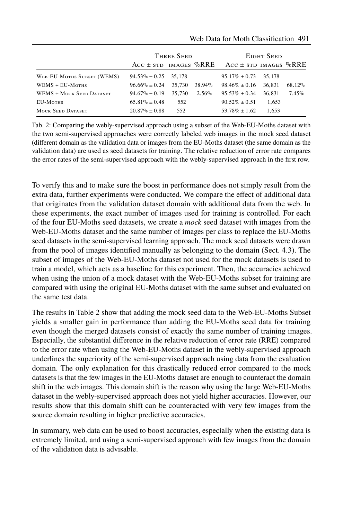|                            |                           | THREE SEED |          | EIGHT SEED                |        |          |  |
|----------------------------|---------------------------|------------|----------|---------------------------|--------|----------|--|
|                            | ACC $\pm$ STD IMAGES %RRE |            |          | ACC $\pm$ STD IMAGES %RRE |        |          |  |
| WEB-EU-MOTHS SUBSET (WEMS) | $94.53\% \pm 0.25$        | 35.178     |          | $95.17\% \pm 0.73$        | 35,178 |          |  |
| WEMS + EU-MOTHS            | $96.66\% \pm 0.24$        | 35,730     | 38.94%   | $98.46\% \pm 0.16$        | 36.831 | 68.12%   |  |
| WEMS + MOCK SEED DATASET   | $94.67\% \pm 0.19$        | 35,730     | $2.56\%$ | $95.53\% \pm 0.34$        | 36.831 | $7.45\%$ |  |
| EU-MOTHS                   | $65.81\% + 0.48$          | 552        |          | $90.52\% + 0.51$          | 1,653  |          |  |
| <b>MOCK SEED DATASET</b>   | $20.87\% + 0.88$          | 552        |          | $53.78\% \pm 1.62$        | 1.653  |          |  |

### Web Data for Moth Classifcation Web Data for Moth Classification 491

Tab. 2: Comparing the webly-supervised approach using a subset of the Web-EU-Moths dataset with the two semi-supervised approaches were correctly labeled web images in the mock seed dataset (diferent domain as the validation data or images from the EU-Moths dataset (the same domain as the validation data) are used as seed datasets for training. The relative reduction of error rate compares the error rates of the semi-supervised approach with the webly-supervised approach in the frst row.

To verify this and to make sure the boost in performance does not simply result from the extra data, further experiments were conducted. We compare the efect of additional data that originates from the validation dataset domain with additional data from the web. In these experiments, the exact number of images used for training is controlled. For each of the four EU-Moths seed datasets, we create a *mock* seed dataset with images from the Web-EU-Moths dataset and the same number of images per class to replace the EU-Moths seed datasets in the semi-supervised learning approach. The mock seed datasets were drawn from the pool of images identifed manually as belonging to the domain (Sect. 4.3). The subset of images of the Web-EU-Moths dataset not used for the mock datasets is used to train a model, which acts as a baseline for this experiment. Then, the accuracies achieved when using the union of a mock dataset with the Web-EU-Moths subset for training are compared with using the original EU-Moths dataset with the same subset and evaluated on the same test data.

The results in Table 2 show that adding the mock seed data to the Web-EU-Moths Subset yields a smaller gain in performance than adding the EU-Moths seed data for training even though the merged datasets consist of exactly the same number of training images. Especially, the substantial diference in the relative reduction of error rate (RRE) compared to the error rate when using the Web-EU-Moths dataset in the webly-supervised approach underlines the superiority of the semi-supervised approach using data from the evaluation domain. The only explanation for this drastically reduced error compared to the mock datasets is that the few images in the EU-Moths dataset are enough to counteract the domain shift in the web images. This domain shift is the reason why using the large Web-EU-Moths dataset in the webly-supervised approach does not yield higher accuracies. However, our results show that this domain shift can be counteracted with very few images from the source domain resulting in higher predictive accuracies.

In summary, web data can be used to boost accuracies, especially when the existing data is extremely limited, and using a semi-supervised approach with few images from the domain of the validation data is advisable.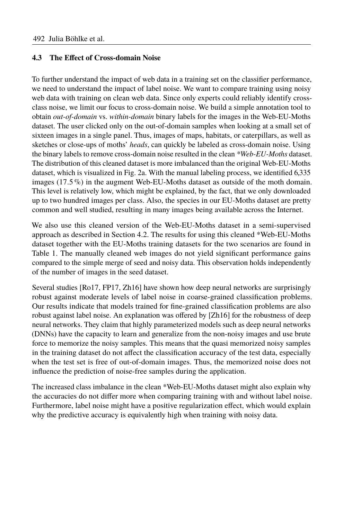#### **4.3 The Efect of Cross-domain Noise**

To further understand the impact of web data in a training set on the classifer performance, we need to understand the impact of label noise. We want to compare training using noisy web data with training on clean web data. Since only experts could reliably identify crossclass noise, we limit our focus to cross-domain noise. We build a simple annotation tool to obtain *out-of-domain* vs. *within-domain* binary labels for the images in the Web-EU-Moths dataset. The user clicked only on the out-of-domain samples when looking at a small set of sixteen images in a single panel. Thus, images of maps, habitats, or caterpillars, as well as sketches or close-ups of moths' *heads*, can quickly be labeled as cross-domain noise. Using the binary labels to remove cross-domain noise resulted in the clean *\*Web-EU-Moths* dataset. The distribution of this cleaned dataset is more imbalanced than the original Web-EU-Moths dataset, which is visualized in Fig. 2a. With the manual labeling process, we identified 6,335<br>images (17.5%) in the augment Web-FU-Moths dataset as outside of the moth domain images  $(17.5\%)$  in the augment Web-EU-Moths dataset as outside of the moth domain. This level is relatively low, which might be explained, by the fact, that we only downloaded up to two hundred images per class. Also, the species in our EU-Moths dataset are pretty common and well studied, resulting in many images being available across the Internet.

We also use this cleaned version of the Web-EU-Moths dataset in a semi-supervised approach as described in Section 4.2. The results for using this cleaned \*Web-EU-Moths dataset together with the EU-Moths training datasets for the two scenarios are found in Table 1. The manually cleaned web images do not yield signifcant performance gains compared to the simple merge of seed and noisy data. This observation holds independently of the number of images in the seed dataset.

Several studies [Ro17, FP17, Zh16] have shown how deep neural networks are surprisingly robust against moderate levels of label noise in coarse-grained classifcation problems. Our results indicate that models trained for fne-grained classifcation problems are also robust against label noise. An explanation was ofered by [Zh16] for the robustness of deep neural networks. They claim that highly parameterized models such as deep neural networks (DNNs) have the capacity to learn and generalize from the non-noisy images and use brute force to memorize the noisy samples. This means that the quasi memorized noisy samples in the training dataset do not afect the classifcation accuracy of the test data, especially when the test set is free of out-of-domain images. Thus, the memorized noise does not infuence the prediction of noise-free samples during the application.

The increased class imbalance in the clean \*Web-EU-Moths dataset might also explain why the accuracies do not difer more when comparing training with and without label noise. Furthermore, label noise might have a positive regularization efect, which would explain why the predictive accuracy is equivalently high when training with noisy data.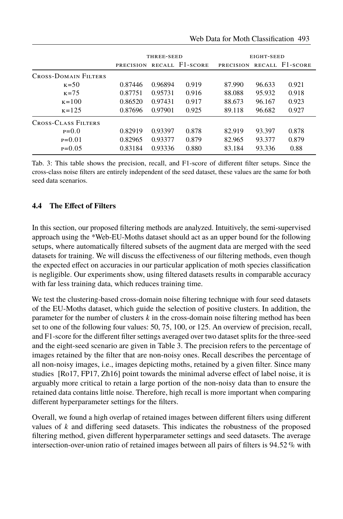|                             | THREE-SEED       |         |                 | EIGHT-SEED       |        |                 |  |
|-----------------------------|------------------|---------|-----------------|------------------|--------|-----------------|--|
|                             | <b>PRECISION</b> |         | RECALL F1-SCORE | <b>PRECISION</b> |        | RECALL F1-SCORE |  |
| <b>CROSS-DOMAIN FILTERS</b> |                  |         |                 |                  |        |                 |  |
| $K = 50$                    | 0.87446          | 0.96894 | 0.919           | 87.990           | 96.633 | 0.921           |  |
| $K = 7.5$                   | 0.87751          | 0.95731 | 0.916           | 88.088           | 95.932 | 0.918           |  |
| $\kappa = 100$              | 0.86520          | 0.97431 | 0.917           | 88.673           | 96.167 | 0.923           |  |
| $\kappa$ =125               | 0.87696          | 0.97901 | 0.925           | 89.118           | 96.682 | 0.927           |  |
| <b>CROSS-CLASS FILTERS</b>  |                  |         |                 |                  |        |                 |  |
| $P=0.0$                     | 0.82919          | 0.93397 | 0.878           | 82.919           | 93.397 | 0.878           |  |
| $P=0.01$                    | 0.82965          | 0.93377 | 0.879           | 82.965           | 93.377 | 0.879           |  |
| $P=0.05$                    | 0.83184          | 0.93336 | 0.880           | 83.184           | 93.336 | 0.88            |  |

Tab. 3: This table shows the precision, recall, and F1-score of diferent flter setups. Since the cross-class noise flters are entirely independent of the seed dataset, these values are the same for both seed data scenarios.

### **4.4 The Efect of Filters**

In this section, our proposed fltering methods are analyzed. Intuitively, the semi-supervised approach using the \*Web-EU-Moths dataset should act as an upper bound for the following setups, where automatically fltered subsets of the augment data are merged with the seed datasets for training. We will discuss the efectiveness of our fltering methods, even though the expected efect on accuracies in our particular application of moth species classifcation is negligible. Our experiments show, using fltered datasets results in comparable accuracy with far less training data, which reduces training time.

We test the clustering-based cross-domain noise fltering technique with four seed datasets of the EU-Moths dataset, which guide the selection of positive clusters. In addition, the parameter for the number of clusters *k* in the cross-domain noise fltering method has been set to one of the following four values: 50, 75, 100, or 125. An overview of precision, recall, and F1-score for the diferent flter settings averaged over two dataset splits for the three-seed and the eight-seed scenario are given in Table 3. The precision refers to the percentage of images retained by the flter that are non-noisy ones. Recall describes the percentage of all non-noisy images, i.e., images depicting moths, retained by a given flter. Since many studies [Ro17, FP17, Zh16] point towards the minimal adverse efect of label noise, it is arguably more critical to retain a large portion of the non-noisy data than to ensure the retained data contains little noise. Therefore, high recall is more important when comparing diferent hyperparameter settings for the flters.

Overall, we found a high overlap of retained images between diferent flters using diferent values of *k* and difering seed datasets. This indicates the robustness of the proposed fltering method, given diferent hyperparameter settings and seed datasets. The average intersection-over-union ratio of retained images between all pairs of flters is <sup>94</sup>.52 % with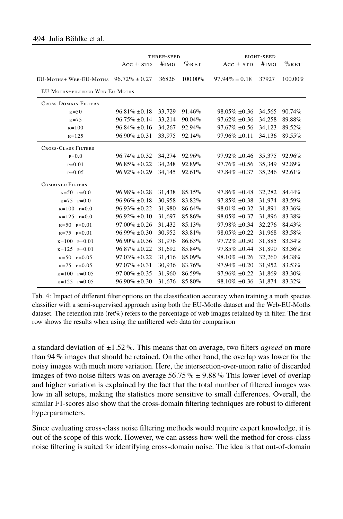|                             | THREE-SEED                     |        |           |                    | EIGHT-SEED |          |  |  |  |
|-----------------------------|--------------------------------|--------|-----------|--------------------|------------|----------|--|--|--|
|                             | $Acc \pm srD$                  | #IMG   | $\%$ RET  | $Acc \pm srD$      | #IMG       | $\%$ RET |  |  |  |
| EU-MOTHS+ WEB-EU-MOTHS      | $96.72\% \pm 0.27$             | 36826  | 100.00%   | $97.94\% \pm 0.18$ | 37927      | 100.00%  |  |  |  |
|                             | EU-MOTHS+FILTERED WEB-EU-MOTHS |        |           |                    |            |          |  |  |  |
| <b>CROSS-DOMAIN FILTERS</b> |                                |        |           |                    |            |          |  |  |  |
| $K = 50$                    | $96.81\% \pm 0.18$             | 33,729 | $91.46\%$ | $98.05\% \pm 0.36$ | 34,565     | 90.74%   |  |  |  |
| $K = 7.5$                   | $96.75\% \pm 0.14$             | 33,214 | $90.04\%$ | $97.62\% \pm 0.36$ | 34,258     | 89.88%   |  |  |  |
| $\kappa = 100$              | $96.84\% \pm 0.16$             | 34,267 | 92.94%    | $97.67\% + 0.56$   | 34,123     | 89.52%   |  |  |  |
| $K = 125$                   | $96.90\% \pm 0.31$             | 33,975 | 92.14%    | $97.96\% \pm 0.11$ | 34,136     | 89.55%   |  |  |  |
| <b>CROSS-CLASS FILTERS</b>  |                                |        |           |                    |            |          |  |  |  |
| $P=0.0$                     | $96.74\% \pm 0.32$             | 34,274 | 92.96%    | $97.92\% \pm 0.46$ | 35,375     | 92.96%   |  |  |  |
| $P = 0.01$                  | $96.85\% \pm 0.22$             | 34,248 | 92.89%    | $97.76\% \pm 0.56$ | 35,349     | 92.89%   |  |  |  |
| $P = 0.05$                  | $96.92\% \pm 0.29$             | 34,145 | 92.61%    | $97.84\% \pm 0.37$ | 35,246     | 92.61%   |  |  |  |
| <b>COMBINED FILTERS</b>     |                                |        |           |                    |            |          |  |  |  |
| $K = 50$ $P = 0.0$          | $96.98\% \pm 0.28$             | 31,438 | 85.15%    | $97.86\% \pm 0.48$ | 32,282     | 84.44%   |  |  |  |
| $K = 75$ $P = 0.0$          | $96.96\% + 0.18$               | 30,958 | 83.82%    | $97.85\% \pm 0.38$ | 31,974     | 83.59%   |  |  |  |
| $K=100$ $P=0.0$             | $96.93\% \pm 0.22$             | 31,980 | 86.64%    | $98.01\% \pm 0.32$ | 31,891     | 83.36%   |  |  |  |
| $K=125$ $P=0.0$             | $96.92\% \pm 0.10$             | 31,697 | 85.86%    | $98.05\% \pm 0.37$ | 31,896     | 83.38%   |  |  |  |
| $K = 50$ P=0.01             | $97.00\% \pm 0.26$             | 31,432 | 85.13%    | $97.98\% \pm 0.34$ | 32,276     | 84.43%   |  |  |  |
| $K=75$ $P=0.01$             | $96.99\% \pm 0.30$             | 30,952 | 83.81%    | $98.05\% \pm 0.22$ | 31,968     | 83.58%   |  |  |  |
| $K=100$ $P=0.01$            | $96.90\% \pm 0.36$             | 31,976 | 86.63%    | $97.72\% \pm 0.50$ | 31,885     | 83.34%   |  |  |  |
| $K=125$ $P=0.01$            | $96.87\% \pm 0.22$             | 31,692 | 85.84%    | $97.85\% \pm 0.44$ | 31,890     | 83.36%   |  |  |  |
| $K = 50$ P=0.05             | $97.03\% \pm 0.22$             | 31,416 | 85.09%    | $98.10\% \pm 0.26$ | 32,260     | 84.38%   |  |  |  |
| $K = 7.5$<br>$P = 0.05$     | $97.07\% \pm 0.31$             | 30,936 | 83.76%    | $97.94\% \pm 0.20$ | 31,952     | 83.53%   |  |  |  |
| $k = 100$ $p = 0.05$        | $97.00\% \pm 0.35$             | 31,960 | 86.59%    | $97.96\% \pm 0.22$ | 31,869     | 83.30%   |  |  |  |
| $K = 125$<br>$P=0.05$       | $96.90\% \pm 0.30$             | 31,676 | 85.80%    | $98.10\% \pm 0.36$ | 31,874     | 83.32%   |  |  |  |

Tab. 4: Impact of diferent flter options on the classifcation accuracy when training a moth species classifer with a semi-supervised approach using both the EU-Moths dataset and the Web-EU-Moths dataset. The retention rate (ret%) refers to the percentage of web images retained by th filter. The first row shows the results when using the unfltered web data for comparison

a standard deviation of <sup>±</sup>1.52 %. This means that on average, two flters *agreed* on more than 94 % images that should be retained. On the other hand, the overlap was lower for the noisy images with much more variation. Here, the intersection-over-union ratio of discarded images of two noise filters was on average 56.75 %  $\pm$  9.88 % This lower level of overlap and higher variation is explained by the fact that the total number of fltered images was low in all setups, making the statistics more sensitive to small diferences. Overall, the similar F1-scores also show that the cross-domain fltering techniques are robust to diferent hyperparameters.

Since evaluating cross-class noise fltering methods would require expert knowledge, it is out of the scope of this work. However, we can assess how well the method for cross-class noise fltering is suited for identifying cross-domain noise. The idea is that out-of-domain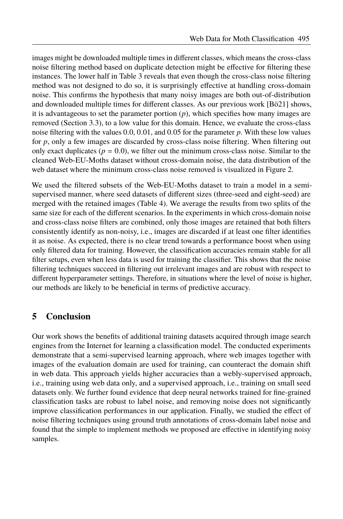images might be downloaded multiple times in diferent classes, which means the cross-class noise fltering method based on duplicate detection might be efective for fltering these instances. The lower half in Table 3 reveals that even though the cross-class noise fltering method was not designed to do so, it is surprisingly efective at handling cross-domain noise. This confrms the hypothesis that many noisy images are both out-of-distribution and downloaded multiple times for diferent classes. As our previous work [Bö21] shows, it is advantageous to set the parameter portion  $(p)$ , which specifies how many images are removed (Section 3.3), to a low value for this domain. Hence, we evaluate the cross-class noise fltering with the values <sup>0</sup>.0, <sup>0</sup>.01, and <sup>0</sup>.<sup>05</sup> for the parameter *<sup>p</sup>*. With these low values for *p*, only a few images are discarded by cross-class noise fltering. When fltering out only exact duplicates ( $p = 0.0$ ), we filter out the minimum cross-class noise. Similar to the cleaned Web-EU-Moths dataset without cross-domain noise, the data distribution of the web dataset where the minimum cross-class noise removed is visualized in Figure 2.

We used the fltered subsets of the Web-EU-Moths dataset to train a model in a semisupervised manner, where seed datasets of diferent sizes (three-seed and eight-seed) are merged with the retained images (Table 4). We average the results from two splits of the same size for each of the diferent scenarios. In the experiments in which cross-domain noise and cross-class noise flters are combined, only those images are retained that both flters consistently identify as non-noisy, i.e., images are discarded if at least one flter identifes it as noise. As expected, there is no clear trend towards a performance boost when using only fltered data for training. However, the classifcation accuracies remain stable for all flter setups, even when less data is used for training the classifer. This shows that the noise fltering techniques succeed in fltering out irrelevant images and are robust with respect to diferent hyperparameter settings. Therefore, in situations where the level of noise is higher, our methods are likely to be benefcial in terms of predictive accuracy.

# **5 Conclusion**

Our work shows the benefts of additional training datasets acquired through image search engines from the Internet for learning a classifcation model. The conducted experiments demonstrate that a semi-supervised learning approach, where web images together with images of the evaluation domain are used for training, can counteract the domain shift in web data. This approach yields higher accuracies than a webly-supervised approach, i.e., training using web data only, and a supervised approach, i.e., training on small seed datasets only. We further found evidence that deep neural networks trained for fne-grained classifcation tasks are robust to label noise, and removing noise does not signifcantly improve classifcation performances in our application. Finally, we studied the efect of noise fltering techniques using ground truth annotations of cross-domain label noise and found that the simple to implement methods we proposed are efective in identifying noisy samples.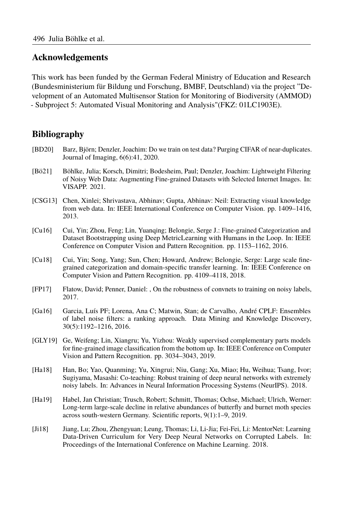### **Acknowledgements**

This work has been funded by the German Federal Ministry of Education and Research (Bundesministerium für Bildung und Forschung, BMBF, Deutschland) via the project "Development of an Automated Multisensor Station for Monitoring of Biodiversity (AMMOD) - Subproject 5: Automated Visual Monitoring and Analysis"(FKZ: 01LC1903E).

### **Bibliography**

- [BD20] Barz, Björn; Denzler, Joachim: Do we train on test data? Purging CIFAR of near-duplicates. Journal of Imaging, 6(6):41, 2020.
- [Bö21] Böhlke, Julia; Korsch, Dimitri; Bodesheim, Paul; Denzler, Joachim: Lightweight Filtering of Noisy Web Data: Augmenting Fine-grained Datasets with Selected Internet Images. In: VISAPP. 2021.
- [CSG13] Chen, Xinlei; Shrivastava, Abhinav; Gupta, Abhinav: Neil: Extracting visual knowledge from web data. In: IEEE International Conference on Computer Vision. pp. 1409–1416, 2013.
- [Cu16] Cui, Yin; Zhou, Feng; Lin, Yuanqing; Belongie, Serge J.: Fine-grained Categorization and Dataset Bootstrapping using Deep MetricLearning with Humans in the Loop. In: IEEE Conference on Computer Vision and Pattern Recognition. pp. 1153–1162, 2016.
- [Cu18] Cui, Yin; Song, Yang; Sun, Chen; Howard, Andrew; Belongie, Serge: Large scale fnegrained categorization and domain-specifc transfer learning. In: IEEE Conference on Computer Vision and Pattern Recognition. pp. 4109–4118, 2018.
- [FP17] Flatow, David; Penner, Daniel: , On the robustness of convnets to training on noisy labels, 2017.
- [Ga16] Garcia, Luís PF; Lorena, Ana C; Matwin, Stan; de Carvalho, André CPLF: Ensembles of label noise flters: a ranking approach. Data Mining and Knowledge Discovery, 30(5):1192–1216, 2016.
- [GLY19] Ge, Weifeng; Lin, Xiangru; Yu, Yizhou: Weakly supervised complementary parts models for fne-grained image classifcation from the bottom up. In: IEEE Conference on Computer Vision and Pattern Recognition. pp. 3034–3043, 2019.
- [Ha18] Han, Bo; Yao, Quanming; Yu, Xingrui; Niu, Gang; Xu, Miao; Hu, Weihua; Tsang, Ivor; Sugiyama, Masashi: Co-teaching: Robust training of deep neural networks with extremely noisy labels. In: Advances in Neural Information Processing Systems (NeurIPS). 2018.
- [Ha19] Habel, Jan Christian; Trusch, Robert; Schmitt, Thomas; Ochse, Michael; Ulrich, Werner: Long-term large-scale decline in relative abundances of butterfy and burnet moth species across south-western Germany. Scientifc reports, 9(1):1–9, 2019.
- [Ji18] Jiang, Lu; Zhou, Zhengyuan; Leung, Thomas; Li, Li-Jia; Fei-Fei, Li: MentorNet: Learning Data-Driven Curriculum for Very Deep Neural Networks on Corrupted Labels. In: Proceedings of the International Conference on Machine Learning. 2018.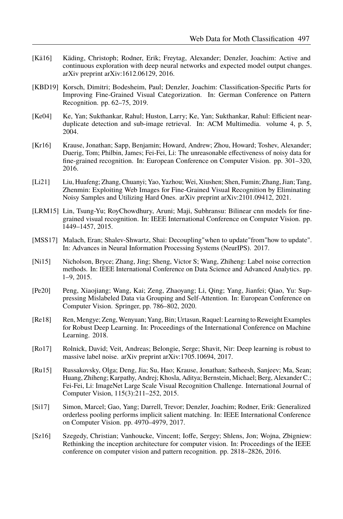- [Kä16] Käding, Christoph; Rodner, Erik; Freytag, Alexander; Denzler, Joachim: Active and continuous exploration with deep neural networks and expected model output changes. arXiv preprint arXiv:1612.06129, 2016.
- [KBD19] Korsch, Dimitri; Bodesheim, Paul; Denzler, Joachim: Classifcation-Specifc Parts for Improving Fine-Grained Visual Categorization. In: German Conference on Pattern Recognition. pp. 62–75, 2019.
- [Ke04] Ke, Yan; Sukthankar, Rahul; Huston, Larry; Ke, Yan; Sukthankar, Rahul: Efficient nearduplicate detection and sub-image retrieval. In: ACM Multimedia. volume 4, p. 5, 2004
- [Kr16] Krause, Jonathan; Sapp, Benjamin; Howard, Andrew; Zhou, Howard; Toshev, Alexander; Duerig, Tom; Philbin, James; Fei-Fei, Li: The unreasonable efectiveness of noisy data for fne-grained recognition. In: European Conference on Computer Vision. pp. 301–320, 2016.
- [Li21] Liu, Huafeng; Zhang, Chuanyi; Yao, Yazhou; Wei, Xiushen; Shen, Fumin; Zhang, Jian; Tang, Zhenmin: Exploiting Web Images for Fine-Grained Visual Recognition by Eliminating Noisy Samples and Utilizing Hard Ones. arXiv preprint arXiv:2101.09412, 2021.
- [LRM15] Lin, Tsung-Yu; RoyChowdhury, Aruni; Maji, Subhransu: Bilinear cnn models for fnegrained visual recognition. In: IEEE International Conference on Computer Vision. pp. 1449–1457, 2015.
- [MSS17] Malach, Eran; Shalev-Shwartz, Shai: Decoupling" when to update" from "how to update". In: Advances in Neural Information Processing Systems (NeurIPS). 2017.
- [Ni15] Nicholson, Bryce; Zhang, Jing; Sheng, Victor S; Wang, Zhiheng: Label noise correction methods. In: IEEE International Conference on Data Science and Advanced Analytics. pp. 1–9, 2015.
- [Pe20] Peng, Xiaojiang; Wang, Kai; Zeng, Zhaoyang; Li, Qing; Yang, Jianfei; Qiao, Yu: Suppressing Mislabeled Data via Grouping and Self-Attention. In: European Conference on Computer Vision. Springer, pp. 786–802, 2020.
- [Re18] Ren, Mengye; Zeng, Wenyuan; Yang, Bin; Urtasun, Raquel: Learning to Reweight Examples for Robust Deep Learning. In: Proceedings of the International Conference on Machine Learning. 2018.
- [Ro17] Rolnick, David; Veit, Andreas; Belongie, Serge; Shavit, Nir: Deep learning is robust to massive label noise. arXiv preprint arXiv:1705.10694, 2017.
- [Ru15] Russakovsky, Olga; Deng, Jia; Su, Hao; Krause, Jonathan; Satheesh, Sanjeev; Ma, Sean; Huang, Zhiheng; Karpathy, Andrej; Khosla, Aditya; Bernstein, Michael; Berg, Alexander C.; Fei-Fei, Li: ImageNet Large Scale Visual Recognition Challenge. International Journal of Computer Vision, 115(3):211–252, 2015.
- [Si17] Simon, Marcel; Gao, Yang; Darrell, Trevor; Denzler, Joachim; Rodner, Erik: Generalized orderless pooling performs implicit salient matching. In: IEEE International Conference on Computer Vision. pp. 4970–4979, 2017.
- [Sz16] Szegedy, Christian; Vanhoucke, Vincent; Iofe, Sergey; Shlens, Jon; Wojna, Zbigniew: Rethinking the inception architecture for computer vision. In: Proceedings of the IEEE conference on computer vision and pattern recognition. pp. 2818–2826, 2016.